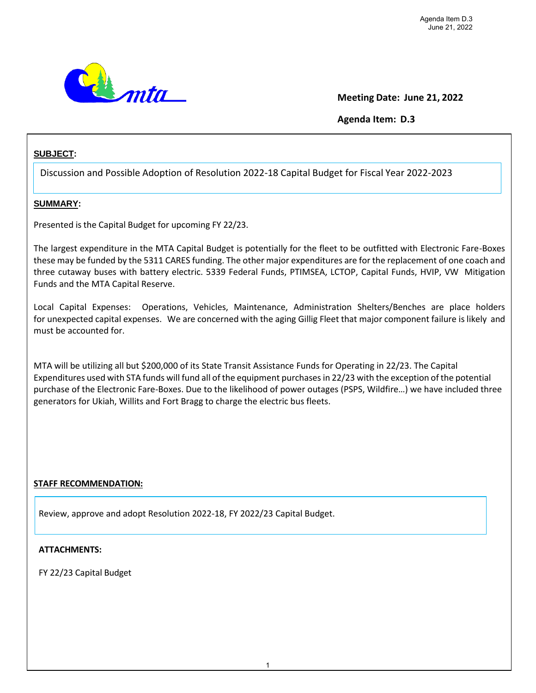

## **Meeting Date: June 21, 2022**

## **Agenda Item: D.3**

## **SUBJECT:**

Discussion and Possible Adoption of Resolution 2022-18 Capital Budget for Fiscal Year 2022-2023

### **SUMMARY:**

Presented is the Capital Budget for upcoming FY 22/23.

The largest expenditure in the MTA Capital Budget is potentially for the fleet to be outfitted with Electronic Fare-Boxes these may be funded by the 5311 CARES funding. The other major expenditures are for the replacement of one coach and three cutaway buses with battery electric. 5339 Federal Funds, PTIMSEA, LCTOP, Capital Funds, HVIP, VW Mitigation Funds and the MTA Capital Reserve.

Local Capital Expenses: Operations, Vehicles, Maintenance, Administration Shelters/Benches are place holders for unexpected capital expenses. We are concerned with the aging Gillig Fleet that major component failure is likely and must be accounted for.

MTA will be utilizing all but \$200,000 of its State Transit Assistance Funds for Operating in 22/23. The Capital Expenditures used with STA funds will fund all of the equipment purchasesin 22/23 with the exception of the potential purchase of the Electronic Fare-Boxes. Due to the likelihood of power outages (PSPS, Wildfire…) we have included three generators for Ukiah, Willits and Fort Bragg to charge the electric bus fleets.

### **STAFF RECOMMENDATION:**

Review, approve and adopt Resolution 2022-18, FY 2022/23 Capital Budget.

#### **ATTACHMENTS:**

FY 22/23 Capital Budget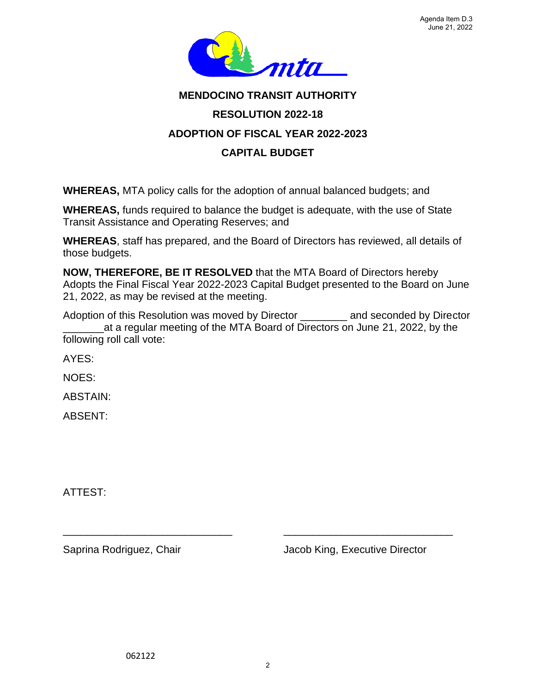

# **MENDOCINO TRANSIT AUTHORITY RESOLUTION 2022-18 ADOPTION OF FISCAL YEAR 2022-2023 CAPITAL BUDGET**

**WHEREAS,** MTA policy calls for the adoption of annual balanced budgets; and

**WHEREAS,** funds required to balance the budget is adequate, with the use of State Transit Assistance and Operating Reserves; and

**WHEREAS**, staff has prepared, and the Board of Directors has reviewed, all details of those budgets.

**NOW, THEREFORE, BE IT RESOLVED** that the MTA Board of Directors hereby Adopts the Final Fiscal Year 2022-2023 Capital Budget presented to the Board on June 21, 2022, as may be revised at the meeting.

Adoption of this Resolution was moved by Director and seconded by Director \_\_\_\_\_\_\_at a regular meeting of the MTA Board of Directors on June 21, 2022, by the following roll call vote:

AYES:

NOES:

ABSTAIN:

ABSENT:

ATTEST:

Saprina Rodriguez, Chair **Jacob King, Executive Director** 

\_\_\_\_\_\_\_\_\_\_\_\_\_\_\_\_\_\_\_\_\_\_\_\_\_\_\_\_\_ \_\_\_\_\_\_\_\_\_\_\_\_\_\_\_\_\_\_\_\_\_\_\_\_\_\_\_\_\_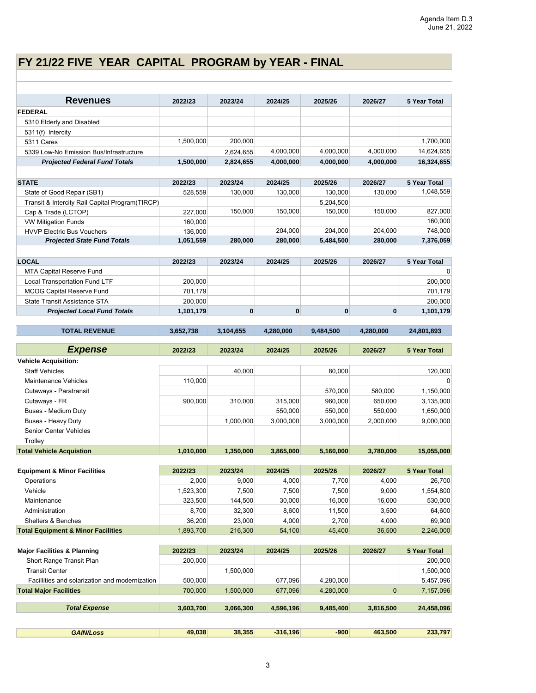# **FY 21/22 FIVE YEAR CAPITAL PROGRAM by YEAR - FINAL**

| <b>Revenues</b>                                                                 | 2022/23            | 2023/24      | 2024/25            | 2025/26                | 2026/27     | 5 Year Total           |
|---------------------------------------------------------------------------------|--------------------|--------------|--------------------|------------------------|-------------|------------------------|
| <b>FEDERAL</b>                                                                  |                    |              |                    |                        |             |                        |
| 5310 Elderly and Disabled                                                       |                    |              |                    |                        |             |                        |
| 5311(f) Intercity                                                               |                    |              |                    |                        |             |                        |
| 5311 Cares                                                                      | 1,500,000          | 200,000      |                    |                        |             | 1,700,000              |
| 5339 Low-No Emission Bus/Infrastructure                                         |                    | 2,624,655    | 4,000,000          | 4,000,000              | 4,000,000   | 14,624,655             |
| <b>Projected Federal Fund Totals</b>                                            | 1,500,000          | 2,824,655    | 4,000,000          | 4,000,000              | 4,000,000   | 16,324,655             |
|                                                                                 |                    |              |                    |                        |             |                        |
| <b>STATE</b>                                                                    | 2022/23            | 2023/24      | 2024/25            | 2025/26                | 2026/27     | 5 Year Total           |
| State of Good Repair (SB1)                                                      | 528,559            | 130,000      | 130,000            | 130,000                | 130,000     | 1,048,559              |
| Transit & Intercity Rail Capital Program(TIRCP)                                 |                    |              |                    | 5,204,500              |             |                        |
| Cap & Trade (LCTOP)                                                             | 227,000            | 150,000      | 150,000            | 150,000                | 150,000     | 827,000                |
| <b>VW Mitigation Funds</b>                                                      | 160,000            |              |                    |                        |             | 160,000                |
| <b>HVVP Electric Bus Vouchers</b>                                               | 136,000            | 280,000      | 204,000            | 204,000                | 204,000     | 748,000                |
| <b>Projected State Fund Totals</b>                                              | 1,051,559          |              | 280,000            | 5,484,500              | 280,000     | 7,376,059              |
| <b>LOCAL</b>                                                                    | 2022/23            | 2023/24      | 2024/25            | 2025/26                | 2026/27     | 5 Year Total           |
| <b>MTA Capital Reserve Fund</b>                                                 |                    |              |                    |                        |             | $\Omega$               |
| <b>Local Transportation Fund LTF</b>                                            | 200,000            |              |                    |                        |             | 200,000                |
| <b>MCOG Capital Reserve Fund</b>                                                | 701,179            |              |                    |                        |             | 701,179                |
| <b>State Transit Assistance STA</b>                                             | 200,000            |              |                    |                        |             | 200,000                |
| <b>Projected Local Fund Totals</b>                                              | 1,101,179          | $\mathbf{0}$ | $\mathbf{0}$       | $\mathbf{0}$           | $\mathbf 0$ | 1,101,179              |
|                                                                                 |                    |              |                    |                        |             |                        |
| <b>TOTAL REVENUE</b>                                                            | 3,652,738          | 3,104,655    | 4,280,000          | 9,484,500              | 4.280.000   | 24,801,893             |
|                                                                                 |                    |              |                    |                        |             |                        |
| <b>Expense</b>                                                                  | 2022/23            | 2023/24      | 2024/25            | 2025/26                | 2026/27     | <b>5 Year Total</b>    |
| <b>Vehicle Acquisition:</b><br><b>Staff Vehicles</b>                            |                    | 40,000       |                    |                        |             |                        |
| <b>Maintenance Vehicles</b>                                                     |                    |              |                    | 80,000                 |             | 120,000<br>$\mathbf 0$ |
| Cutaways - Paratransit                                                          | 110,000            |              |                    | 570,000                | 580,000     | 1,150,000              |
| Cutaways - FR                                                                   | 900,000            | 310,000      | 315,000            | 960,000                | 650,000     | 3,135,000              |
| <b>Buses - Medium Duty</b>                                                      |                    |              | 550,000            | 550,000                | 550,000     | 1,650,000              |
| <b>Buses - Heavy Duty</b>                                                       |                    | 1,000,000    | 3,000,000          | 3,000,000              | 2,000,000   | 9,000,000              |
| <b>Senior Center Vehicles</b>                                                   |                    |              |                    |                        |             |                        |
| Trolley                                                                         |                    |              |                    |                        |             |                        |
| <b>Total Vehicle Acquistion</b>                                                 | 1,010,000          | 1.350.000    | 3.865.000          | 5.160.000              | 3,780,000   | 15,055,000             |
|                                                                                 |                    |              |                    |                        |             |                        |
| <b>Equipment &amp; Minor Facilities</b>                                         | 2022/23            | 2023/24      | 2024/25            | 2025/26                | 2026/27     | 5 Year Total           |
| Operations                                                                      | 2,000              | 9,000        | 4,000              | 7,700                  | 4,000       | 26,700                 |
| Vehicle                                                                         | 1,523,300          | 7,500        | 7,500              | 7,500                  | 9,000       | 1,554,800              |
| Maintenance                                                                     | 323,500            | 144,500      | 30,000             | 16,000                 | 16,000      | 530,000                |
| Administration                                                                  | 8,700              | 32,300       | 8,600              | 11,500                 | 3,500       | 64,600                 |
| <b>Shelters &amp; Benches</b>                                                   | 36,200             | 23,000       | 4,000              | 2,700                  | 4,000       | 69,900                 |
| <b>Total Equipment &amp; Minor Facilities</b>                                   | 1,893,700          | 216,300      | 54,100             | 45,400                 | 36,500      | 2,246,000              |
|                                                                                 |                    |              |                    |                        |             |                        |
| <b>Major Facilities &amp; Planning</b>                                          | 2022/23            | 2023/24      | 2024/25            | 2025/26                | 2026/27     | <b>5 Year Total</b>    |
| Short Range Transit Plan                                                        | 200,000            |              |                    |                        |             | 200,000                |
| <b>Transit Center</b>                                                           |                    | 1,500,000    |                    |                        |             | 1,500,000              |
| Facillities and solarization and modernization<br><b>Total Major Facilities</b> | 500,000<br>700,000 | 1,500,000    | 677,096<br>677,096 | 4,280,000<br>4,280,000 | $\mathbf 0$ | 5,457,096<br>7,157,096 |
|                                                                                 |                    |              |                    |                        |             |                        |
| <b>Total Expense</b>                                                            | 3,603,700          | 3,066,300    | 4,596,196          | 9,485,400              | 3,816,500   | 24,458,096             |
|                                                                                 |                    |              |                    |                        |             |                        |
|                                                                                 |                    |              |                    |                        |             |                        |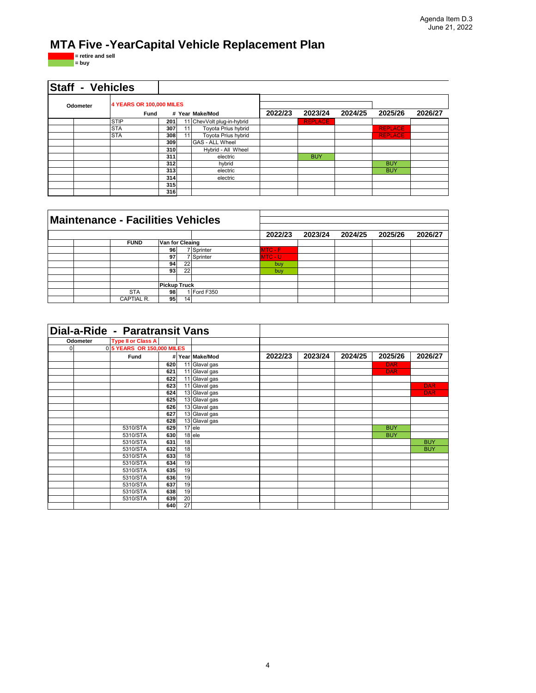# **MTA Five -YearCapital Vehicle Replacement Plan**

**= retire and sell = buy**

| <b>Staff - Vehicles</b> |                                  |     |    |                            |         |                |         |                |         |
|-------------------------|----------------------------------|-----|----|----------------------------|---------|----------------|---------|----------------|---------|
| Odometer                | 4 YEARS OR 100,000 MILES<br>Fund |     |    | # Year Make/Mod            | 2022/23 | 2023/24        | 2024/25 | 2025/26        | 2026/27 |
|                         | <b>STIP</b>                      | 201 |    | 11 ChevVolt plug-in-hybrid |         | <b>REPLACE</b> |         |                |         |
|                         | <b>STA</b>                       | 307 | 11 | Toyota Prius hybrid        |         |                |         | <b>REPLACE</b> |         |
|                         | <b>STA</b>                       | 308 | 11 | Toyota Prius hybrid        |         |                |         | <b>REPLACE</b> |         |
|                         |                                  | 309 |    | GAS - ALL Wheel            |         |                |         |                |         |
|                         |                                  | 310 |    | Hybrid - All Wheel         |         |                |         |                |         |
|                         |                                  | 311 |    | electric                   |         | <b>BUY</b>     |         |                |         |
|                         |                                  | 312 |    | hybrid                     |         |                |         | <b>BUY</b>     |         |
|                         |                                  | 313 |    | electric                   |         |                |         | <b>BUY</b>     |         |
|                         |                                  | 314 |    | electric                   |         |                |         |                |         |
|                         |                                  | 315 |    |                            |         |                |         |                |         |
|                         |                                  | 316 |    |                            |         |                |         |                |         |

| <b>Maintenance - Facilities Vehicles</b> |                     |    |                 |           |         |         |         |         |
|------------------------------------------|---------------------|----|-----------------|-----------|---------|---------|---------|---------|
|                                          |                     |    |                 | 2022/23   | 2023/24 | 2024/25 | 2025/26 | 2026/27 |
| <b>FUND</b>                              | Van for Cleaing     |    |                 |           |         |         |         |         |
|                                          | 96                  |    | <b>Sprinter</b> | $MTC - F$ |         |         |         |         |
|                                          | 97                  |    | 7 Sprinter      | MTC - U   |         |         |         |         |
|                                          | 94                  | 22 |                 | buy       |         |         |         |         |
|                                          | 93                  | 22 |                 | buy       |         |         |         |         |
|                                          |                     |    |                 |           |         |         |         |         |
|                                          | <b>Pickup Truck</b> |    |                 |           |         |         |         |         |
| <b>STA</b>                               | 98                  |    | I Ford F350     |           |         |         |         |         |
| CAPTIAL R.                               | 95 <sub>l</sub>     | 14 |                 |           |         |         |         |         |

|          |          | Dial-a-Ride - Paratransit Vans |     |    |                 |         |         |         |            |            |
|----------|----------|--------------------------------|-----|----|-----------------|---------|---------|---------|------------|------------|
|          | Odometer | <b>Type II or Class A</b>      |     |    |                 |         |         |         |            |            |
| $\Omega$ |          | 0 5 YEARS OR 150,000 MILES     |     |    |                 |         |         |         |            |            |
|          |          | Fund                           |     |    | # Year Make/Mod | 2022/23 | 2023/24 | 2024/25 | 2025/26    | 2026/27    |
|          |          |                                | 620 |    | 11 Glaval gas   |         |         |         | <b>DAR</b> |            |
|          |          |                                | 621 |    | 11 Glaval gas   |         |         |         | <b>DAR</b> |            |
|          |          |                                | 622 |    | 11 Glaval gas   |         |         |         |            |            |
|          |          |                                | 623 |    | 11 Glaval gas   |         |         |         |            | <b>DAR</b> |
|          |          |                                | 624 |    | 13 Glaval gas   |         |         |         |            | <b>DAR</b> |
|          |          |                                | 625 |    | 13 Glaval gas   |         |         |         |            |            |
|          |          |                                | 626 |    | 13 Glaval gas   |         |         |         |            |            |
|          |          |                                | 627 |    | 13 Glaval gas   |         |         |         |            |            |
|          |          |                                | 628 |    | 13 Glaval gas   |         |         |         |            |            |
|          |          | 5310/STA                       | 629 |    | $17$ ele        |         |         |         | <b>BUY</b> |            |
|          |          | 5310/STA                       | 630 |    | 18 ele          |         |         |         | <b>BUY</b> |            |
|          |          | 5310/STA                       | 631 | 18 |                 |         |         |         |            | <b>BUY</b> |
|          |          | 5310/STA                       | 632 | 18 |                 |         |         |         |            | <b>BUY</b> |
|          |          | 5310/STA                       | 633 | 18 |                 |         |         |         |            |            |
|          |          | 5310/STA                       | 634 | 19 |                 |         |         |         |            |            |
|          |          | 5310/STA                       | 635 | 19 |                 |         |         |         |            |            |
|          |          | 5310/STA                       | 636 | 19 |                 |         |         |         |            |            |
|          |          | 5310/STA                       | 637 | 19 |                 |         |         |         |            |            |
|          |          | 5310/STA                       | 638 | 19 |                 |         |         |         |            |            |
|          |          | 5310/STA                       | 639 | 20 |                 |         |         |         |            |            |
|          |          |                                | 640 | 27 |                 |         |         |         |            |            |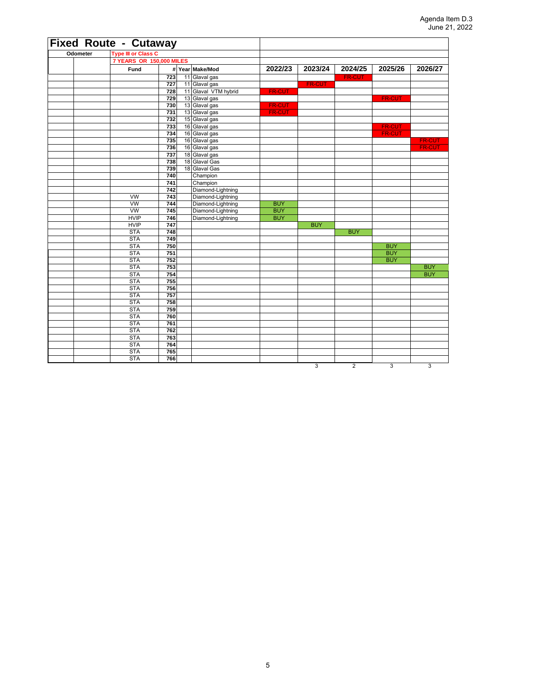| <b>Fixed Route - Cutaway</b> |                            |            |                                |               |                |                |               |                                |
|------------------------------|----------------------------|------------|--------------------------------|---------------|----------------|----------------|---------------|--------------------------------|
| Odometer                     | <b>Type III or Class C</b> |            |                                |               |                |                |               |                                |
|                              | 7 YEARS OR 150,000 MILES   |            |                                |               |                |                |               |                                |
|                              | Fund                       |            | # Year Make/Mod                | 2022/23       | 2023/24        | 2024/25        | 2025/26       | 2026/27                        |
|                              |                            | 723        | 11 Glaval gas                  |               |                | <b>FR-CUT</b>  |               |                                |
|                              |                            | 727        | 11 Glaval gas                  |               | <b>FR-CUT</b>  |                |               |                                |
|                              |                            | 728        | 11 Glaval VTM hybrid           | <b>FR-CUT</b> |                |                |               |                                |
|                              |                            | 729        | 13 Glaval gas                  |               |                |                | <b>FR-CUT</b> |                                |
|                              |                            | 730        | 13 Glaval gas                  | <b>FR-CUT</b> |                |                |               |                                |
|                              |                            | 731        | 13 Glaval gas                  | <b>FR-CUT</b> |                |                |               |                                |
|                              |                            | 732        | 15 Glaval gas                  |               |                |                |               |                                |
|                              |                            | 733        | 16 Glaval gas                  |               |                |                | FR-CUT        |                                |
|                              |                            | 734        | 16 Glaval gas                  |               |                |                | <b>FR-CUT</b> |                                |
|                              |                            | 735        | 16 Glaval gas                  |               |                |                |               | <b>FR-CUT</b><br><b>FR-CUT</b> |
|                              |                            | 736<br>737 | 16 Glaval gas                  |               |                |                |               |                                |
|                              |                            | 738        | 18 Glaval gas<br>18 Glaval Gas |               |                |                |               |                                |
|                              |                            | 739        | 18 Glaval Gas                  |               |                |                |               |                                |
|                              |                            | 740        | Champion                       |               |                |                |               |                                |
|                              |                            | 741        | Champion                       |               |                |                |               |                                |
|                              |                            | 742        | Diamond-Lightning              |               |                |                |               |                                |
|                              | <b>VW</b>                  | 743        | Diamond-Lightning              |               |                |                |               |                                |
|                              | <b>VW</b>                  | 744        | Diamond-Lightning              | <b>BUY</b>    |                |                |               |                                |
|                              | <b>VW</b>                  | 745        | Diamond-Lightning              | <b>BUY</b>    |                |                |               |                                |
|                              | <b>HVIP</b>                | 746        | Diamond-Lightning              | <b>BUY</b>    |                |                |               |                                |
|                              | <b>HVIP</b>                | 747        |                                |               | <b>BUY</b>     |                |               |                                |
|                              | <b>STA</b>                 | 748        |                                |               |                | <b>BUY</b>     |               |                                |
|                              | <b>STA</b>                 | 749        |                                |               |                |                |               |                                |
|                              | <b>STA</b>                 | 750        |                                |               |                |                | <b>BUY</b>    |                                |
|                              | <b>STA</b>                 | 751        |                                |               |                |                | <b>BUY</b>    |                                |
|                              | <b>STA</b>                 | 752        |                                |               |                |                | <b>BUY</b>    |                                |
|                              | <b>STA</b>                 | 753        |                                |               |                |                |               | <b>BUY</b>                     |
|                              | <b>STA</b>                 | 754        |                                |               |                |                |               | <b>BUY</b>                     |
|                              | <b>STA</b>                 | 755        |                                |               |                |                |               |                                |
|                              | <b>STA</b>                 | 756        |                                |               |                |                |               |                                |
|                              | <b>STA</b>                 | 757        |                                |               |                |                |               |                                |
|                              | <b>STA</b>                 | 758        |                                |               |                |                |               |                                |
|                              | <b>STA</b>                 | 759        |                                |               |                |                |               |                                |
|                              | <b>STA</b>                 | 760        |                                |               |                |                |               |                                |
|                              | <b>STA</b>                 | 761        |                                |               |                |                |               |                                |
|                              | <b>STA</b>                 | 762        |                                |               |                |                |               |                                |
|                              | <b>STA</b><br><b>STA</b>   | 763<br>764 |                                |               |                |                |               |                                |
|                              | <b>STA</b>                 | 765        |                                |               |                |                |               |                                |
|                              | <b>STA</b>                 | 766        |                                |               |                |                |               |                                |
|                              |                            |            |                                |               | $\overline{3}$ | $\overline{2}$ | 3             | $\overline{3}$                 |
|                              |                            |            |                                |               |                |                |               |                                |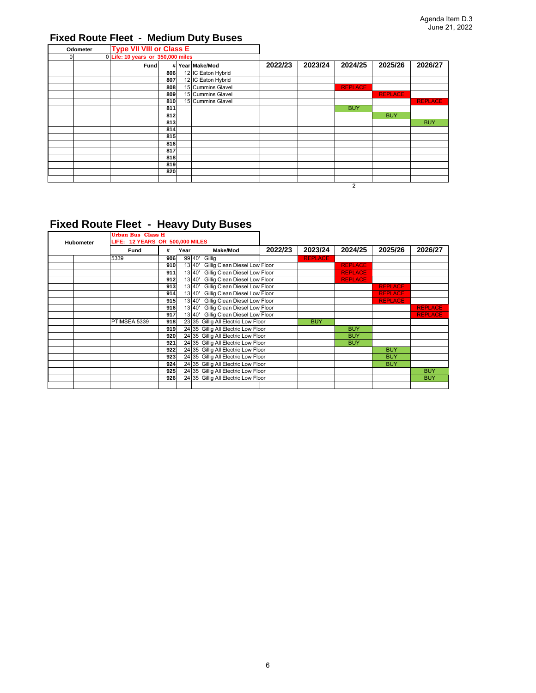## **Fixed Route Fleet - Medium Duty Buses**

|          | Odometer | <b>Type VII VIII or Class E</b>   |     |                    |         |         |                |                |                |
|----------|----------|-----------------------------------|-----|--------------------|---------|---------|----------------|----------------|----------------|
| $\Omega$ |          | 0 Life: 10 years or 350,000 miles |     |                    |         |         |                |                |                |
|          |          | Fund                              |     | # Year Make/Mod    | 2022/23 | 2023/24 | 2024/25        | 2025/26        | 2026/27        |
|          |          |                                   | 806 | 12 IC Eaton Hybrid |         |         |                |                |                |
|          |          |                                   | 807 | 12 IC Eaton Hybrid |         |         |                |                |                |
|          |          |                                   | 808 | 15 Cummins Glavel  |         |         | <b>REPLACE</b> |                |                |
|          |          |                                   | 809 | 15 Cummins Glavel  |         |         |                | <b>REPLACE</b> |                |
|          |          |                                   | 810 | 15 Cummins Glavel  |         |         |                |                | <b>REPLACE</b> |
|          |          |                                   | 811 |                    |         |         | <b>BUY</b>     |                |                |
|          |          |                                   | 812 |                    |         |         |                | <b>BUY</b>     |                |
|          |          |                                   | 813 |                    |         |         |                |                | <b>BUY</b>     |
|          |          |                                   | 814 |                    |         |         |                |                |                |
|          |          |                                   | 815 |                    |         |         |                |                |                |
|          |          |                                   | 816 |                    |         |         |                |                |                |
|          |          |                                   | 817 |                    |         |         |                |                |                |
|          |          |                                   | 818 |                    |         |         |                |                |                |
|          |          |                                   | 819 |                    |         |         |                |                |                |
|          |          |                                   | 820 |                    |         |         |                |                |                |
|          |          |                                   |     |                    |         |         |                |                |                |
|          |          |                                   |     |                    |         |         | 2              |                |                |

## **Fixed Route Fleet - Heavy Duty Buses**

|                  | Urban Bus Class H               |     |      |                                         |         |                |                |                |                |
|------------------|---------------------------------|-----|------|-----------------------------------------|---------|----------------|----------------|----------------|----------------|
| <b>Hubometer</b> | LIFE: 12 YEARS OR 500,000 MILES |     |      |                                         |         |                |                |                |                |
|                  | Fund                            | #   | Year | Make/Mod                                | 2022/23 | 2023/24        | 2024/25        | 2025/26        | 2026/27        |
|                  | 5339                            | 906 |      | 99 40' Gillig                           |         | <b>REPLACE</b> |                |                |                |
|                  |                                 | 910 |      | 13 40'<br>Gillig Clean Diesel Low Floor |         |                | <b>REPLACE</b> |                |                |
|                  |                                 | 911 |      | 13 40' Gillig Clean Diesel Low Floor    |         |                | <b>REPLACE</b> |                |                |
|                  |                                 | 912 |      | 13 40' Gillig Clean Diesel Low Floor    |         |                | <b>REPLACE</b> |                |                |
|                  |                                 | 913 |      | Gillig Clean Diesel Low Floor<br>13 40' |         |                |                | <b>REPLACE</b> |                |
|                  |                                 | 914 |      | 13 40' Gillig Clean Diesel Low Floor    |         |                |                | <b>REPLACE</b> |                |
|                  |                                 | 915 |      | 13 40'<br>Gillig Clean Diesel Low Floor |         |                |                | <b>REPLACE</b> |                |
|                  |                                 | 916 |      | 13 40' Gillig Clean Diesel Low Floor    |         |                |                |                | <b>REPLACE</b> |
|                  |                                 | 917 |      | 13 40' Gillig Clean Diesel Low Floor    |         |                |                |                | <b>REPLACE</b> |
|                  | PTIMSEA 5339                    | 918 |      | 23 35 Gillig All Electric Low Floor     |         | <b>BUY</b>     |                |                |                |
|                  |                                 | 919 |      | 24 35 Gillig All Electric Low Floor     |         |                | <b>BUY</b>     |                |                |
|                  |                                 | 920 |      | 24 35 Gillig All Electric Low Floor     |         |                | <b>BUY</b>     |                |                |
|                  |                                 | 921 |      | 24 35 Gillig All Electric Low Floor     |         |                | <b>BUY</b>     |                |                |
|                  |                                 | 922 |      | 24 35 Gillig All Electric Low Floor     |         |                |                | <b>BUY</b>     |                |
|                  |                                 | 923 |      | 24 35 Gillig All Electric Low Floor     |         |                |                | <b>BUY</b>     |                |
|                  |                                 | 924 |      | 24 35 Gillig All Electric Low Floor     |         |                |                | <b>BUY</b>     |                |
|                  |                                 | 925 |      | 24 35 Gillig All Electric Low Floor     |         |                |                |                | <b>BUY</b>     |
|                  |                                 | 926 |      | 24 35 Gillig All Electric Low Floor     |         |                |                |                | <b>BUY</b>     |
|                  |                                 |     |      |                                         |         |                |                |                |                |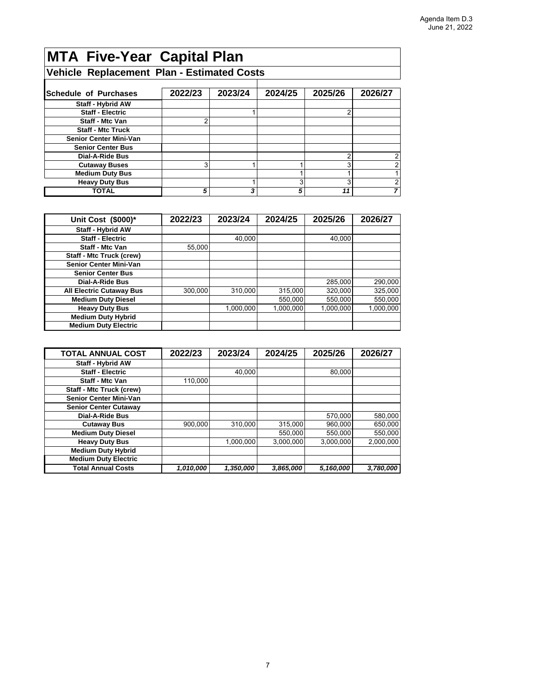# **MTA Five-Year Capital Plan**

## **Vehicle Replacement Plan - Estimated Costs**

| <b>Schedule of Purchases</b>  | 2022/23 | 2023/24 | 2024/25 | 2025/26 | 2026/27 |
|-------------------------------|---------|---------|---------|---------|---------|
| <b>Staff - Hybrid AW</b>      |         |         |         |         |         |
| <b>Staff - Electric</b>       |         |         |         |         |         |
| Staff - Mtc Van               | ⌒       |         |         |         |         |
| <b>Staff - Mtc Truck</b>      |         |         |         |         |         |
| <b>Senior Center Mini-Van</b> |         |         |         |         |         |
| <b>Senior Center Bus</b>      |         |         |         |         |         |
| <b>Dial-A-Ride Bus</b>        |         |         |         |         |         |
| <b>Cutaway Buses</b>          | 3       |         |         | ົ       |         |
| <b>Medium Duty Bus</b>        |         |         |         |         |         |
| <b>Heavy Duty Bus</b>         |         |         | 3       |         |         |
| <b>TOTAL</b>                  | 5       | 3       | 5       |         |         |

| Unit Cost (\$000)*              | 2022/23 | 2023/24   | 2024/25   | 2025/26   | 2026/27   |
|---------------------------------|---------|-----------|-----------|-----------|-----------|
| <b>Staff - Hybrid AW</b>        |         |           |           |           |           |
| <b>Staff - Electric</b>         |         | 40.000    |           | 40.000    |           |
| <b>Staff - Mtc Van</b>          | 55,000  |           |           |           |           |
| <b>Staff - Mtc Truck (crew)</b> |         |           |           |           |           |
| <b>Senior Center Mini-Van</b>   |         |           |           |           |           |
| <b>Senior Center Bus</b>        |         |           |           |           |           |
| <b>Dial-A-Ride Bus</b>          |         |           |           | 285,000   | 290,000   |
| <b>All Electric Cutaway Bus</b> | 300,000 | 310,000   | 315,000   | 320,000   | 325,000   |
| <b>Medium Duty Diesel</b>       |         |           | 550.000   | 550.000   | 550,000   |
| <b>Heavy Duty Bus</b>           |         | 1.000.000 | 1,000,000 | 1,000,000 | 1,000,000 |
| <b>Medium Duty Hybrid</b>       |         |           |           |           |           |
| <b>Medium Duty Electric</b>     |         |           |           |           |           |

| <b>TOTAL ANNUAL COST</b>        | 2022/23   | 2023/24   | 2024/25   | 2025/26   | 2026/27   |
|---------------------------------|-----------|-----------|-----------|-----------|-----------|
| <b>Staff - Hybrid AW</b>        |           |           |           |           |           |
| <b>Staff - Electric</b>         |           | 40.000    |           | 80.000    |           |
| <b>Staff - Mtc Van</b>          | 110.000   |           |           |           |           |
| <b>Staff - Mtc Truck (crew)</b> |           |           |           |           |           |
| <b>Senior Center Mini-Van</b>   |           |           |           |           |           |
| <b>Senior Center Cutaway</b>    |           |           |           |           |           |
| Dial-A-Ride Bus                 |           |           |           | 570,000   | 580,000   |
| <b>Cutaway Bus</b>              | 900,000   | 310.000   | 315,000   | 960,000   | 650,000   |
| <b>Medium Duty Diesel</b>       |           |           | 550.000   | 550,000   | 550,000   |
| <b>Heavy Duty Bus</b>           |           | 1,000,000 | 3.000.000 | 3,000,000 | 2.000.000 |
| <b>Medium Duty Hybrid</b>       |           |           |           |           |           |
| <b>Medium Duty Electric</b>     |           |           |           |           |           |
| <b>Total Annual Costs</b>       | 1,010,000 | 1,350,000 | 3,865,000 | 5,160,000 | 3,780,000 |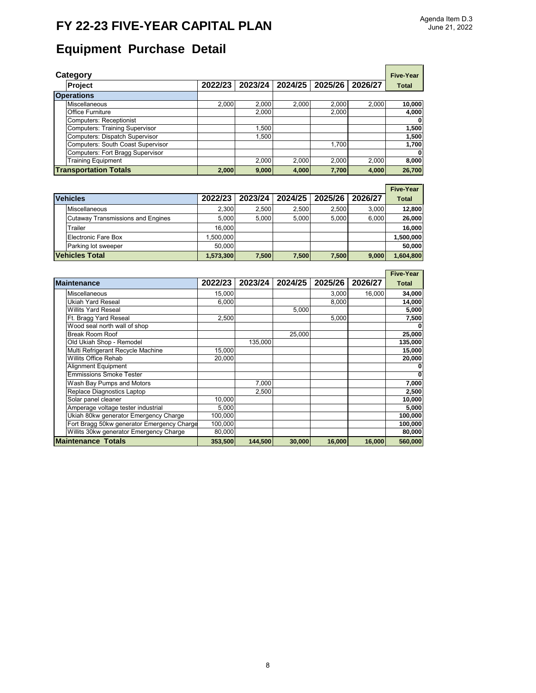## **FY 22-23 FIVE-YEAR CAPITAL PLAN**

 $\blacksquare$ 

# **Equipment Purchase Detail**

| Category                              |         |         |         |         |         | <b>Five-Year</b> |
|---------------------------------------|---------|---------|---------|---------|---------|------------------|
| <b>Project</b>                        | 2022/23 | 2023/24 | 2024/25 | 2025/26 | 2026/27 | <b>Total</b>     |
| <b>Operations</b>                     |         |         |         |         |         |                  |
| Miscellaneous                         | 2,000   | 2.000   | 2.000   | 2,000   | 2.000   | 10,000           |
| <b>Office Furniture</b>               |         | 2,000   |         | 2,000   |         | 4,000            |
| Computers: Receptionist               |         |         |         |         |         | 0                |
| <b>Computers: Training Supervisor</b> |         | 1.500   |         |         |         | 1,500            |
| Computers: Dispatch Supervisor        |         | 1.500   |         |         |         | 1,500            |
| Computers: South Coast Supervisor     |         |         |         | 1.700   |         | 1,700            |
| Computers: Fort Bragg Supervisor      |         |         |         |         |         | - 0              |
| <b>Training Equipment</b>             |         | 2.000   | 2.000   | 2,000   | 2,000   | 8,000            |
| <b>Transportation Totals</b>          | 2,000   | 9,000   | 4,000   | 7,700   | 4,000   | 26,700           |

|                                          |           |         |         |         |         | <b>Five-Year</b> |
|------------------------------------------|-----------|---------|---------|---------|---------|------------------|
| <b>Vehicles</b>                          | 2022/23   | 2023/24 | 2024/25 | 2025/26 | 2026/27 | <b>Total</b>     |
| Miscellaneous                            | 2.300     | 2.500   | 2.500   | 2.500   | 3.000   | 12,800           |
| <b>Cutaway Transmissions and Engines</b> | 5.000     | 5.000   | 5.000   | 5.000   | 6.000   | 26,000           |
| Trailer                                  | 16.000    |         |         |         |         | 16,000           |
| Electronic Fare Box                      | 1.500.000 |         |         |         |         | 1,500,000        |
| Parking lot sweeper                      | 50.000    |         |         |         |         | 50,000           |
| <b>Vehicles Total</b>                    | 1,573,300 | 7,500   | 7,500   | 7,500   | 9,000   | 1,604,800        |

| <b>Maintenance</b>                         | 2022/23 | 2023/24 | 2024/25 | 2025/26 | 2026/27 | <b>Total</b> |  |
|--------------------------------------------|---------|---------|---------|---------|---------|--------------|--|
| Miscellaneous                              | 15,000  |         |         | 3,000   | 16,000  | 34,000       |  |
| Ukiah Yard Reseal                          | 6,000   |         |         | 8,000   |         | 14,000       |  |
| <b>Willits Yard Reseal</b>                 |         |         | 5,000   |         |         | 5,000        |  |
| Ft. Bragg Yard Reseal                      | 2,500   |         |         | 5,000   |         | 7,500        |  |
| Wood seal north wall of shop               |         |         |         |         |         |              |  |
| Break Room Roof                            |         |         | 25,000  |         |         | 25,000       |  |
| Old Ukiah Shop - Remodel                   |         | 135,000 |         |         |         | 135,000      |  |
| Multi Refrigerant Recycle Machine          | 15,000  |         |         |         |         | 15,000       |  |
| <b>Willits Office Rehab</b>                | 20,000  |         |         |         |         | 20,000       |  |
| <b>Alignment Equipment</b>                 |         |         |         |         |         |              |  |
| <b>Emmissions Smoke Tester</b>             |         |         |         |         |         | 0            |  |
| Wash Bay Pumps and Motors                  |         | 7.000   |         |         |         | 7,000        |  |
| Replace Diagnostics Laptop                 |         | 2.500   |         |         |         | 2,500        |  |
| Solar panel cleaner                        | 10,000  |         |         |         |         | 10,000       |  |
| Amperage voltage tester industrial         | 5,000   |         |         |         |         | 5,000        |  |
| Ukiah 80kw generator Emergency Charge      | 100,000 |         |         |         |         | 100,000      |  |
| Fort Bragg 50kw generator Emergency Charge | 100,000 |         |         |         |         | 100,000      |  |
| Willits 30kw generator Emergency Charge    | 80,000  |         |         |         |         | 80,000       |  |
| <b>Maintenance Totals</b>                  | 353.500 | 144.500 | 30,000  | 16,000  | 16,000  | 560,000      |  |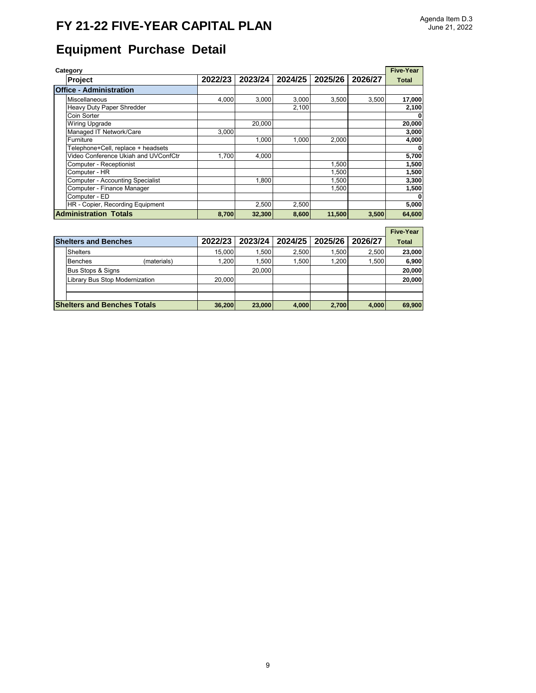## **FY 21-22 FIVE-YEAR CAPITAL PLAN**

# **Equipment Purchase Detail**

| Category                       |                                         |         |         |         |         |         |              |
|--------------------------------|-----------------------------------------|---------|---------|---------|---------|---------|--------------|
|                                | <b>Project</b>                          | 2022/23 | 2023/24 | 2024/25 | 2025/26 | 2026/27 | <b>Total</b> |
| <b>Office - Administration</b> |                                         |         |         |         |         |         |              |
|                                | Miscellaneous                           | 4.000   | 3.000   | 3,000   | 3.500   | 3.500   | 17,000       |
|                                | Heavy Duty Paper Shredder               |         |         | 2,100   |         |         | 2,100        |
|                                | Coin Sorter                             |         |         |         |         |         | 0            |
|                                | <b>Wiring Upgrade</b>                   |         | 20,000  |         |         |         | 20,000       |
|                                | Managed IT Network/Care                 | 3.000   |         |         |         |         | 3,000        |
|                                | Furniture                               |         | 1.000   | 1.000   | 2,000   |         | 4,000        |
|                                | Telephone+Cell, replace + headsets      |         |         |         |         |         | 0            |
|                                | Video Conference Ukiah and UVConfCtr    | 1,700   | 4,000   |         |         |         | 5,700        |
|                                | Computer - Receptionist                 |         |         |         | 1,500   |         | 1,500        |
|                                | Computer - HR                           |         |         |         | 1,500   |         | 1,500        |
|                                | <b>Computer - Accounting Specialist</b> |         | 1,800   |         | 1,500   |         | 3,300        |
|                                | Computer - Finance Manager              |         |         |         | 1,500   |         | 1,500        |
|                                | Computer - ED                           |         |         |         |         |         | $\mathbf 0$  |
|                                | HR - Copier, Recording Equipment        |         | 2,500   | 2,500   |         |         | 5,000        |
|                                | <b>Administration Totals</b>            | 8.700   | 32,300  | 8,600   | 11,500  | 3,500   | 64,600       |

#### **Five-Year**

|  | <b>Shelters and Benches</b>                                                       |             | 2022/23 | 2023/24 | 2024/25 | 2025/26 | 2026/27 | <b>Total</b> |
|--|-----------------------------------------------------------------------------------|-------------|---------|---------|---------|---------|---------|--------------|
|  | <b>Shelters</b>                                                                   |             | 15.000  | 1.500   | 2.500   | 1.500   | 2.500   | 23,000       |
|  | <b>Benches</b>                                                                    | (materials) | 1.200   | 1.500   | 1.500   | 1.200   | 1.500   | 6,900        |
|  | <b>Bus Stops &amp; Signs</b>                                                      |             |         | 20,000  |         |         |         | 20,000       |
|  | Library Bus Stop Modernization                                                    |             | 20,000  |         |         |         |         | 20,000       |
|  |                                                                                   |             |         |         |         |         |         |              |
|  |                                                                                   |             |         |         |         |         |         |              |
|  | <b>Shelters and Benches Totals</b><br>23,000<br>2,700<br>36,200<br>4.000<br>4.000 |             |         |         |         |         |         |              |